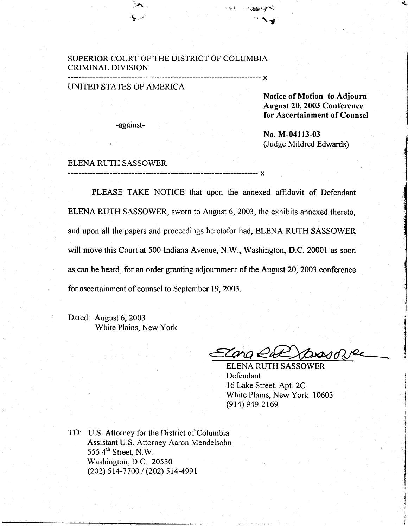#### SUPERIOR COURT OF THE DISTRICT OF COLUMBIA CRIMINAL DIVISION

#### UNITED STATES OF AMERICA

 $\sim$ 

 $\blacktriangleright$  -  $\blacktriangle$ 

-against-

Notice of Motion to Adjourn August 20, 2003 Conference for Ascertainment of Counsel  $\bullet$ 

No. M-04113-03 (Judge Mildred Edwards)

# ::\_:\_I11Y.T:::?.y\_11. \_......x

PLEASE TAKE NOTICE that upon the annexed affidavit of Defendant ELENA RUTH SASSOWER, sworn to August 6,2003, the exhibits annexed thereto, and upon all the papers and proceedings heretofor had, ELENA RUTH SASSOWER will move this Court at 500 Indiana Avenue, N.W., Washington, D.C. 20001 as soon as can be heard, for an order granting adjournment of the August 20,2003 conference for ascertainment of counsel to September 19, 2003.

iii,l rrjllst"f{

 $\ddot{\phantom{1}}$ 

x

Dated: August 6, 2003 White Plains, New York

Zano €

ELENA RUTH SASSOWER Defendant l6 Lake Street, Apt.2C White Plains, New York 10603 (914) 949-2169

TO: U.S. Attorney for the District of Columbia Assistant U.S. Attorney Aaron Mendelsohn 555  $4<sup>th</sup>$  Street, N.W. Washington, D.C. 20530 (202) 514-7700 / (202) 514-4991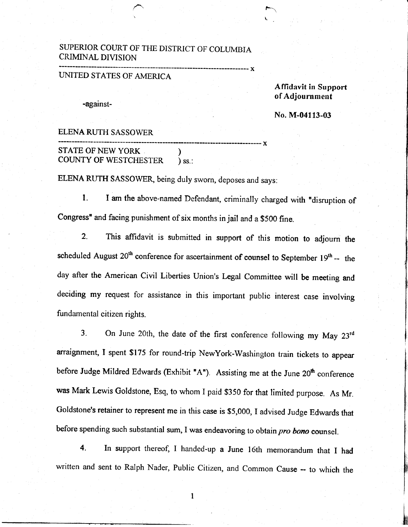## SUPERIOR COURT OF THE DISTRICT OF COLUMBIA CRIMINAL DIVISION

## UMTED STATES OF AMERICA

-against-

Affidavit in Support of Adjournment

ka kuning di salah sahiji désa di kacamatan di kacamatan Sulawesi di Kabupatén Kabupatén Kabupatén Kabupatén K<br>Kabupatén Kabupatén Kabupatén Kabupatén Kabupatén Kabupatén Kabupatén Kabupatén Kabupatén Kabupatén Kabupatén

No. M-04113-03

## ELENA RUTH SASSOWER

------------ x STATE OF NEW YORK (STATE OF NEW YORK ) COUNTY OF WESTCHESTER

ELENA RUTH SASSOWER, being duly sworn, deposes and says:

l. I am the above-named Defendant, criminally charged with "disruption of Congress" and facing punishment of six months in jail and a \$500 fine.

------ x

 $\mathbf{r}$ L

2. This affrdavit is submitted in support of this motion to adjourn the scheduled August  $20^{th}$  conference for ascertainment of counsel to September 19<sup>th</sup> -- the day after the American Civil Liberties Union's Legal Committee will be meeting and deciding my request for assistance in this important public interest case involving fundamental citizen rights.

3. On June 20th, the date of the first conference following my May  $23<sup>rd</sup>$ arraignment, I spent \$175 for round-trip NewYork-Washington train tickets to appear before Judge Mildred Edwards (Exhibit "A"). Assisting me at the June 20<sup>th</sup> conference was Mark Lewis Goldstone, Esq, to whom I paid \$350 for that limited purpose. As Mr. Goldstone's retainer to represent me in this case is \$5,000, I advised Judge Edwards that before spending such substantial sum, I was endeavoring to obtain pro bono counsel.

4. In support thereof, I handed-up a June l6th memorandum that I had written and sent to Ralph Nader, Public Citizen, and Common Cause -- to which the

 $\mathbf{1}$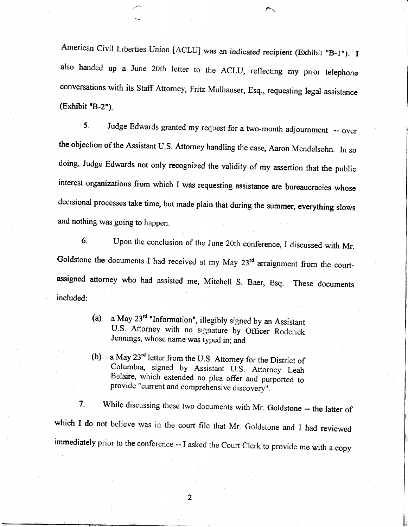American Civil Liberties Union [ACLU] was an indicated recipient (Exhibit "B-1"). I also handed up a June 20th letter to the ACLU, reflecting my prior telephone conversations with its Staff Attorney, Fritz Mulhauser, Esq., requesting legal assistance  $(Exhibit "B-2")$ .

5. Judge Edwards granted my request for a two-month adjournment -- over the objection of the Assistant U.S. Attorney handling the case, Aaron Mendelsohn. In so doing, Judge Edwards not only recognized the validity of my assertion that the public interest organizations from which I was requesting assistance are bureaucracies whose decisional processes take time, but made plain that during the summer, everything slows and nothing was going to happen.

6. Upon the conclusion of the June 20th conference, I discussed with Mr. Goldstone the documents I had received at my May 23<sup>rd</sup> arraignment from the courtassigned attorney who had assisted me, Mitchell s. Baer, Esq. These documents included:

- (a) a May  $23<sup>rd</sup>$  "Information", illegibly signed by an Assistant U.S. Attorney with no signature by Officer Roderick Jennings, whose name was typed in; and
- (b) a May  $23^{rd}$  letter from the U.S. Attorney for the District of Columbia, signed by Assistant U.S. Attorney Leah Belaire, which extended no plea offer and purported to provide "current and comprehensive discovery".

7. While discussing these two documents with Mr. Goldstone -- the latter of which I do not believe was in the court file that Mr. Goldstone and I had reviewed immediately prior to the conference -- I asked the Court Clerk to provide me with a copy

 $\overline{2}$ 

I ffi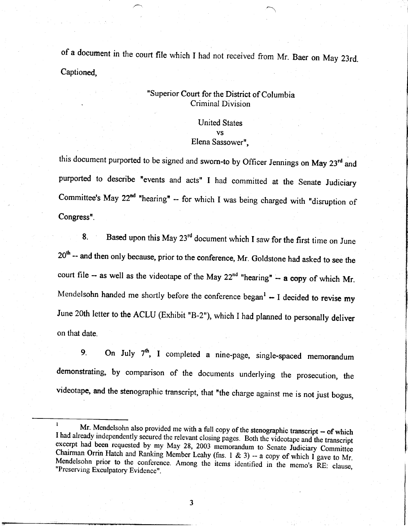of a document in the court file which I had not received from Mr. Baer on May 23rd. Captioned,

.

# , "Superior Court for the District of Columbia Criminal Division

United States vs Elena Sassower",

this document purported to be signed and sworn-to by Officer Jennings on May 23<sup>rd</sup> and purported to describe "events and acts" I had committed at the Senate Judiciary Committee's May  $22^{nd}$  "hearing" -- for which I was being charged with "disruption of Congress'.

8. Based upon this May  $23<sup>rd</sup>$  document which I saw for the first time on June 20<sup>th</sup> -- and then only because, prior to the conference, Mr. Goldstone had asked to see the court file -- as well as the videotape of the May  $22<sup>nd</sup>$  "hearing" -- a copy of which Mr. Mendelsohn handed me shortly before the conference began<sup>1</sup>  $-$  I decided to revise my June 20th letter to the ACLU (Exhibit "B-2"), which I had planned to personally deliver on that date.

9. On July  $7<sup>th</sup>$ , I completed a nine-page, single-spaced memorandum demonstrating, by comparison of the documents underlying the prosecution, the videotape, and the stenographic transcript, that "the charge against me is not just bogus,

t,

l,

 $\overline{3}$ 

<sup>&</sup>lt;sup>1</sup> Mr. Mendelsohn also provided me with a full copy of the stenographic transcript  $-$  of which I had already independently secured the relevant closing pages. Both the videotape and the transcript excerpt had been reque Mendelsohn prior to the conference. Among the items identified in the memo's RE: clause, "Preserving Exculpatory Evidence". Chairman Orrin Hatch and Ranking Member Leahy (fns. 1 & 3) -- a copy of which I gave to Mr.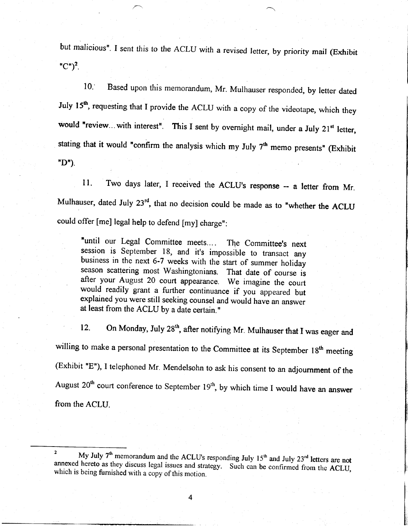but malicious". I sent this to the ACLU with a revised letter, by priority mail (Exhibit " $C$ ")<sup>2</sup>.

10. Based upon this memorandum, Mr. Mulhauser responded, by letter dated July 15<sup>th</sup>, requesting that I provide the ACLU with a copy of the videotape, which they would "review...with interest". This I sent by overnight mail, under a July  $21^{st}$  letter, stating that it would "confirm the analysis which my July  $7<sup>th</sup>$  memo presents" (Exhibit  $"D"$ ).

ll. Two days later, I received the ACLU's response -- a letter from Mr. Mulhauser, dated July  $23^{rd}$ , that no decision could be made as to "whether the ACLU could offer [me] legal help to defend [my] charge":

"until our Legal Committee meets.... The Committee's next session is September 18, and it's impossible to transact any business in the next 6-7 weeks with the start of summer holiday season scattering most washingtonians. That date of course is after your August 20 court appearance. We imagine the court would readily grant a further continuance if you appeared but explained you were still seeking counsel and would have an answer at least from the ACLU by a date certain."

12. On Monday, July 28<sup>th</sup>, after notifying Mr. Mulhauser that I was eager and willing to make a personal presentation to the Committee at its September 18<sup>th</sup> meeting (Exhibit "E"), I telephoned Mr. Mendelsohn to ask his consent to an adjournment of the August  $20<sup>th</sup>$  court conference to September  $19<sup>th</sup>$ , by which time I would have an answer from the ACLU.

<sup>&#</sup>x27; <sup>2</sup> My July 7<sup>th</sup> memorandum and the ACLU's responding July 15<sup>th</sup> and July 23<sup>rd</sup> letters are not annexed hereto as they discuss legal issues and strategy. Such can be confirmed from the ACLU, which is being furnished wi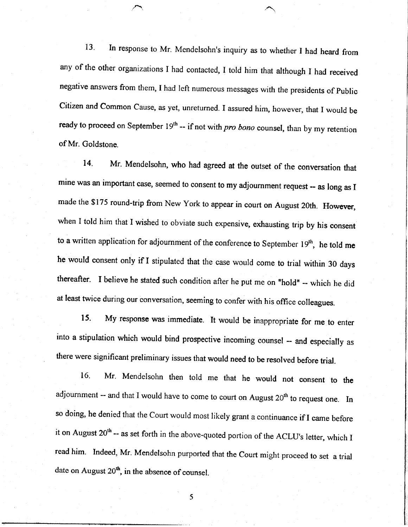13. In response to Mr. Mendelsohn's inquiry as to whether I had heard from any of the other organizations I had contacted, I told him that although I had received negative answers from them, I had left numerous messages with the presidents of public Citizen and Common Cause, as yet, unreturned. I assured him, however, that I would be ready to proceed on September  $19<sup>th</sup>$  -- if not with *pro bono* counsel, than by my retention of Mr. Goldstone.

14. Mr. Mendelsohn, who had agreed at the outset of the conversation that mine was an important case, seemed to consent to my adjournment request -- as long as I made the \$175 round-trip from New York to appear in court on August 20th. However, when I told him that I wished to obviate such expensive, exhausting trip by his consent to a written application for adjournment of the conference to September  $19<sup>th</sup>$ , he told me he would consent only if I stipulated that the case would come to trial within 30 days thereafter. I believe he stated such condition after he put me on "hold" -- which he did at least twice during our conversation, seeming to confer with his office colleagues.

15. My response was immediate. It would be inappropriate for me to enter into a stipulation which would bind prospective incoming counsel - and especially as there were significant preliminary issues that would need to be resolved before trial.

16. Mr. Mendelsohn then told me that he would not consent to the adjournment -- and that I would have to come to court on August  $20<sup>th</sup>$  to request one. In so doing, he denied that the Court would most likely grant a continuance if I came before it on August  $20<sup>th</sup>$  -- as set forth in the above-quoted portion of the ACLU's letter, which I read him' Indeed, Mr. Mendelsohn purported that the Court might proceed to set a trial date on August  $20<sup>th</sup>$ , in the absence of counsel.

5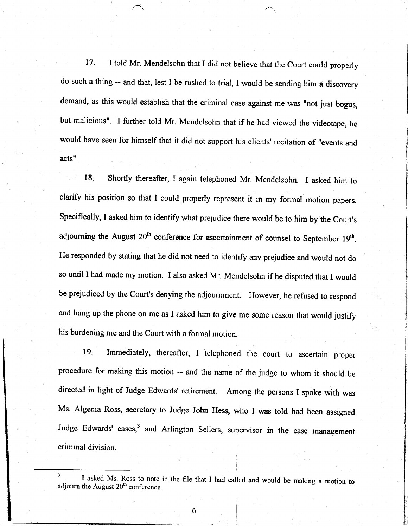17. I told Mr. Mendelsohn that I did not believe that the Court could properly do such a thing -- and that, lest I be rushed to trial, I would be sending him a discovery demand, as this would establish that the criminal case against me was "not just bogus, but malicious". I further told Mr. Mendelsohn that if he had viewed the videotape, he would have seen for himself that it did not support his clients' recitation of "events and  $acts$ .

18. Shortly thereafter, I again telephoned Mr. Mendelsohn. I asked him to clarify his position so that I could properly represent it in my formal motion papers. Specifically, I asked him to identify what prejudice there would be to him by the Court's adjourning the August  $20^{th}$  conference for ascertainment of counsel to September 19<sup>th</sup>. He responded by stating that he did not need to identify any prejudice and would not do so until I had made my motion. I also asked Mr. Mendelsohn if he disputed that I would be prejudiced by the Court's denying the adjournment. However, he refused to respond and hung up the phone on me as I asked him to give me some reason that would justify his burdening me and the Court with a formal motion.

19. Immediately, thereafler, I telephoned the court to ascertain proper procedure for making this motion -- and the name of the judge to whom it should be directed in light of Judge Edwards' retirement. Among the persons I spoke with was Ms. Algenia Ross, secretary to Judge John Hess, who I was told had been assigned Judge Edwards' cases,<sup>3</sup> and Arlington Sellers, supervisor in the case management criminal division.

6

<sup>&</sup>lt;sup>3</sup> I asked Ms. Ross to note in the file that I had called and would be making a motion to adjourn the August  $20<sup>th</sup>$  conference.